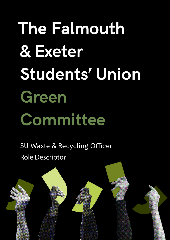# **The Falmouth & Exeter Students' Union Green Committee**

SU Waste & Recycling Officer Role Descriptor

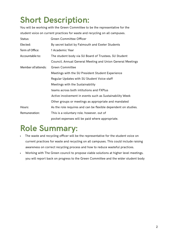# **Short Description:**

You will be working with the Green Committee to be the representative for the student voice on current practices for waste and recycling on all campuses.

| Status:            | Green Committee Officer                                        |
|--------------------|----------------------------------------------------------------|
| Elected:           | By secret ballot by Falmouth and Exeter Students               |
| Term of Office:    | 1 Academic Year                                                |
| Accountable to:    | The student body via SU Board of Trustees, SU Student          |
|                    | Council, Annual General Meeting and Union General Meetings     |
| Member of/attends: | <b>Green Committee</b>                                         |
|                    | Meetings with the SU President Student Experience              |
|                    | Regular Updates with SU Student Voice staff                    |
|                    | Meetings with the Sustainability                               |
|                    | teams across both intitutions and FXPlus                       |
|                    | Active involvement in events such as Sustainability Week       |
|                    | Other groups or meetings as appropriate and mandated           |
| Hours:             | As the role requires and can be flexible dependent on studies. |
| Remuneration:      | This is a voluntary role, however, out of                      |
|                    | pocket expenses will be paid where appropriate.                |

#### **Role Summary:**

- The waste and recycling officer will be the representative for the student voice on current practices for waste and recycling on all campuses. This could include raising awareness on correct recycling process and how to reduce wasteful practices.
- Working with The Green council to propose viable solutions at higher level meetings, you will report back on progress to the Green Committee and the wider student body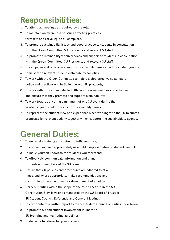### **Responsibilities:**

- 1. To attend all meetings as required by the role;
- 2. To maintain an awareness of issues affecting practices for waste and recycling on all campuses.
- 3. To promote sustainability issues and good practice to students in consultation with the Green Committee, SU Presidents and relevant SU staff;
- 4. To promote sustainability within services and support to students in consultation with the Green Committee, SU Presidents and relevant SU staff;
- 5. To campaign and raise awareness of sustainability issues affecting student groups;
- 6. To liaise with relevant student sustainability societies;
- 7. To work with the Green Committee to help develop effective sustainable policy and practices within SU in line with SU protocols;
- 8. To work with SU staff and elected Officers to review services and activities and ensure that they promote and support sustainability;
- 9. To work towards ensuring a minimum of one SU event during the academic year is held to focus on sustainability issues;
- 10. To represent the student view and experience when working with the SU to submit proposals for relevant activity together which supports the sustainability agenda.

#### **General Duties:**

- 1. To undertake training as required to fulfil your role;
- 2. To conduct yourself appropriately as a public representative of students and SU.
- 3. To make yourself known to the students you represent;
- 4. To effectively communicate information and plans with relevant members of the SU team;
- 5. Ensure that SU policies and procedures are adhered to at all times, and where appropriate, make recommendations and contribute to the amendment or development of a policy;
- 6. Carry out duties within the scope of the role as set out in the SU Constitution & By-laws or as mandated by the SU Board of Trustees, SU Student Council, Referenda and General Meetings;
- 7. To contribute to a written report to the SU Student Council on duties undertaken.
- 8. To promote SU and student involvement in line with SU branding and marketing guidelines.
- 9. To deliver a handover for your successor.